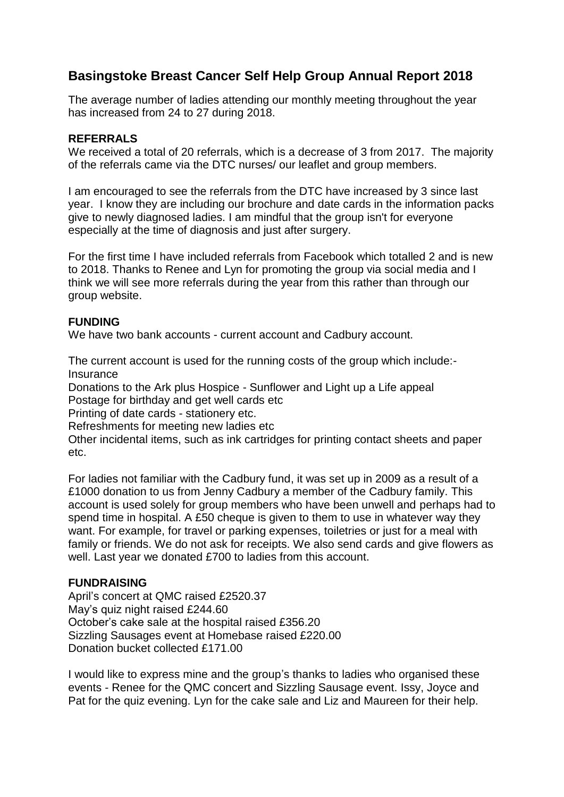# **Basingstoke Breast Cancer Self Help Group Annual Report 2018**

The average number of ladies attending our monthly meeting throughout the year has increased from 24 to 27 during 2018.

# **REFERRALS**

We received a total of 20 referrals, which is a decrease of 3 from 2017. The majority of the referrals came via the DTC nurses/ our leaflet and group members.

I am encouraged to see the referrals from the DTC have increased by 3 since last year. I know they are including our brochure and date cards in the information packs give to newly diagnosed ladies. I am mindful that the group isn't for everyone especially at the time of diagnosis and just after surgery.

For the first time I have included referrals from Facebook which totalled 2 and is new to 2018. Thanks to Renee and Lyn for promoting the group via social media and I think we will see more referrals during the year from this rather than through our group website.

# **FUNDING**

We have two bank accounts - current account and Cadbury account.

The current account is used for the running costs of the group which include:- **Insurance** 

Donations to the Ark plus Hospice - Sunflower and Light up a Life appeal Postage for birthday and get well cards etc

Printing of date cards - stationery etc.

Refreshments for meeting new ladies etc

Other incidental items, such as ink cartridges for printing contact sheets and paper etc.

For ladies not familiar with the Cadbury fund, it was set up in 2009 as a result of a £1000 donation to us from Jenny Cadbury a member of the Cadbury family. This account is used solely for group members who have been unwell and perhaps had to spend time in hospital. A £50 cheque is given to them to use in whatever way they want. For example, for travel or parking expenses, toiletries or just for a meal with family or friends. We do not ask for receipts. We also send cards and give flowers as well. Last year we donated £700 to ladies from this account.

# **FUNDRAISING**

April's concert at QMC raised £2520.37 May's quiz night raised £244.60 October's cake sale at the hospital raised £356.20 Sizzling Sausages event at Homebase raised £220.00 Donation bucket collected £171.00

I would like to express mine and the group's thanks to ladies who organised these events - Renee for the QMC concert and Sizzling Sausage event. Issy, Joyce and Pat for the quiz evening. Lyn for the cake sale and Liz and Maureen for their help.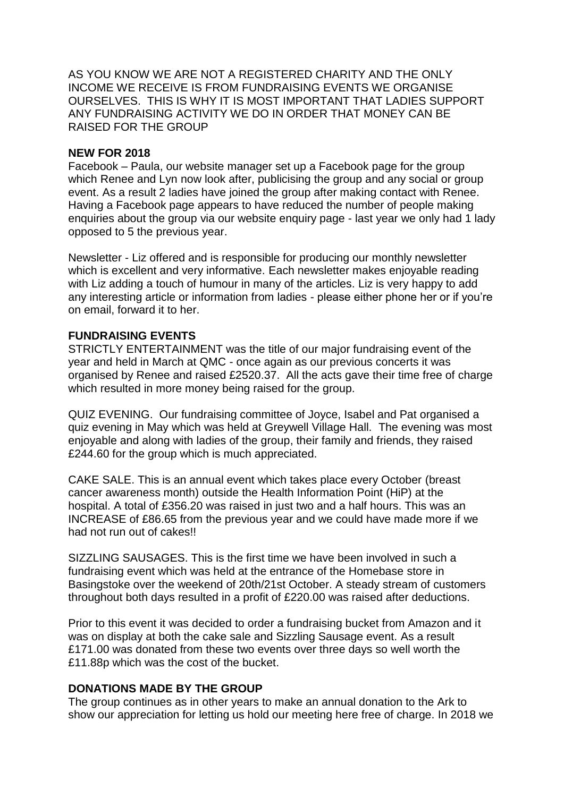AS YOU KNOW WE ARE NOT A REGISTERED CHARITY AND THE ONLY INCOME WE RECEIVE IS FROM FUNDRAISING EVENTS WE ORGANISE OURSELVES. THIS IS WHY IT IS MOST IMPORTANT THAT LADIES SUPPORT ANY FUNDRAISING ACTIVITY WE DO IN ORDER THAT MONEY CAN BE RAISED FOR THE GROUP

#### **NEW FOR 2018**

Facebook – Paula, our website manager set up a Facebook page for the group which Renee and Lyn now look after, publicising the group and any social or group event. As a result 2 ladies have joined the group after making contact with Renee. Having a Facebook page appears to have reduced the number of people making enquiries about the group via our website enquiry page - last year we only had 1 lady opposed to 5 the previous year.

Newsletter - Liz offered and is responsible for producing our monthly newsletter which is excellent and very informative. Each newsletter makes enjoyable reading with Liz adding a touch of humour in many of the articles. Liz is very happy to add any interesting article or information from ladies - please either phone her or if you're on email, forward it to her.

# **FUNDRAISING EVENTS**

STRICTLY ENTERTAINMENT was the title of our major fundraising event of the year and held in March at QMC - once again as our previous concerts it was organised by Renee and raised £2520.37. All the acts gave their time free of charge which resulted in more money being raised for the group.

QUIZ EVENING. Our fundraising committee of Joyce, Isabel and Pat organised a quiz evening in May which was held at Greywell Village Hall. The evening was most enjoyable and along with ladies of the group, their family and friends, they raised £244.60 for the group which is much appreciated.

CAKE SALE. This is an annual event which takes place every October (breast cancer awareness month) outside the Health Information Point (HiP) at the hospital. A total of £356.20 was raised in just two and a half hours. This was an INCREASE of £86.65 from the previous year and we could have made more if we had not run out of cakes!

SIZZLING SAUSAGES. This is the first time we have been involved in such a fundraising event which was held at the entrance of the Homebase store in Basingstoke over the weekend of 20th/21st October. A steady stream of customers throughout both days resulted in a profit of £220.00 was raised after deductions.

Prior to this event it was decided to order a fundraising bucket from Amazon and it was on display at both the cake sale and Sizzling Sausage event. As a result £171.00 was donated from these two events over three days so well worth the £11.88p which was the cost of the bucket.

# **DONATIONS MADE BY THE GROUP**

The group continues as in other years to make an annual donation to the Ark to show our appreciation for letting us hold our meeting here free of charge. In 2018 we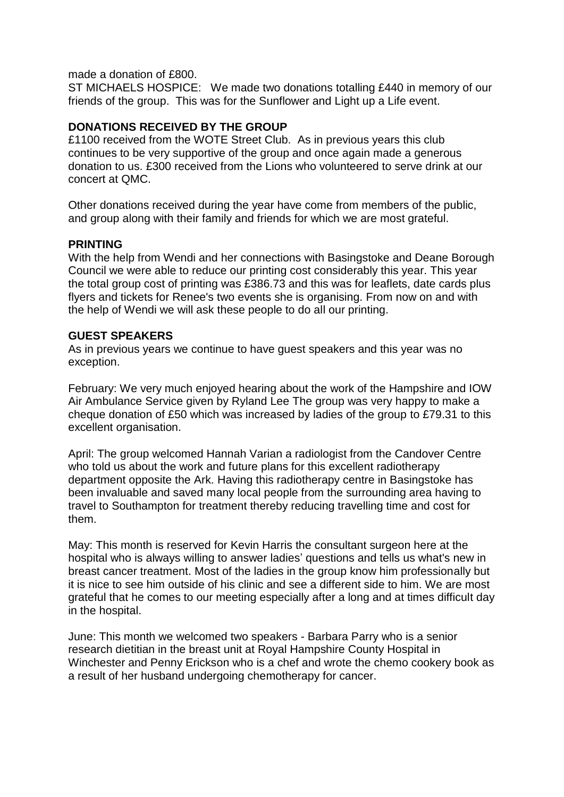made a donation of £800.

ST MICHAELS HOSPICE: We made two donations totalling £440 in memory of our friends of the group. This was for the Sunflower and Light up a Life event.

# **DONATIONS RECEIVED BY THE GROUP**

£1100 received from the WOTE Street Club. As in previous years this club continues to be very supportive of the group and once again made a generous donation to us. £300 received from the Lions who volunteered to serve drink at our concert at QMC.

Other donations received during the year have come from members of the public, and group along with their family and friends for which we are most grateful.

#### **PRINTING**

With the help from Wendi and her connections with Basingstoke and Deane Borough Council we were able to reduce our printing cost considerably this year. This year the total group cost of printing was £386.73 and this was for leaflets, date cards plus flyers and tickets for Renee's two events she is organising. From now on and with the help of Wendi we will ask these people to do all our printing.

# **GUEST SPEAKERS**

As in previous years we continue to have guest speakers and this year was no exception.

February: We very much enjoyed hearing about the work of the Hampshire and IOW Air Ambulance Service given by Ryland Lee The group was very happy to make a cheque donation of £50 which was increased by ladies of the group to £79.31 to this excellent organisation.

April: The group welcomed Hannah Varian a radiologist from the Candover Centre who told us about the work and future plans for this excellent radiotherapy department opposite the Ark. Having this radiotherapy centre in Basingstoke has been invaluable and saved many local people from the surrounding area having to travel to Southampton for treatment thereby reducing travelling time and cost for them.

May: This month is reserved for Kevin Harris the consultant surgeon here at the hospital who is always willing to answer ladies' questions and tells us what's new in breast cancer treatment. Most of the ladies in the group know him professionally but it is nice to see him outside of his clinic and see a different side to him. We are most grateful that he comes to our meeting especially after a long and at times difficult day in the hospital.

June: This month we welcomed two speakers - Barbara Parry who is a senior research dietitian in the breast unit at Royal Hampshire County Hospital in Winchester and Penny Erickson who is a chef and wrote the chemo cookery book as a result of her husband undergoing chemotherapy for cancer.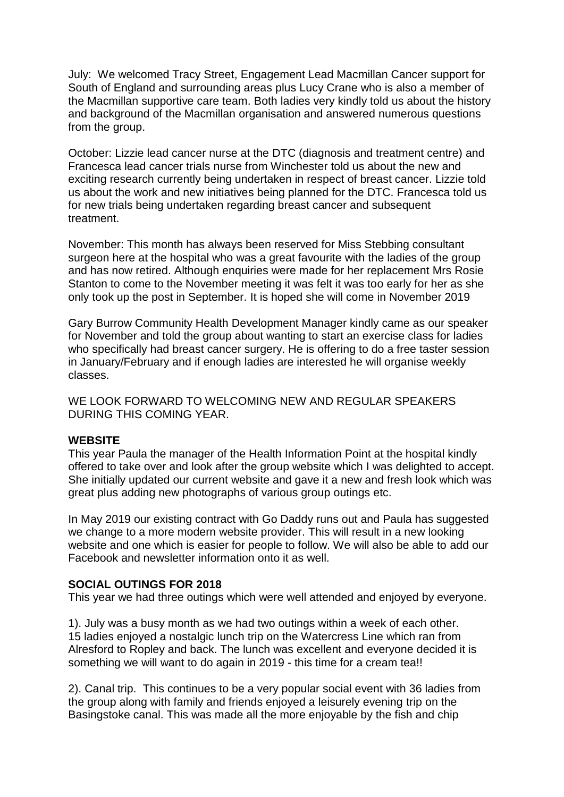July: We welcomed Tracy Street, Engagement Lead Macmillan Cancer support for South of England and surrounding areas plus Lucy Crane who is also a member of the Macmillan supportive care team. Both ladies very kindly told us about the history and background of the Macmillan organisation and answered numerous questions from the group.

October: Lizzie lead cancer nurse at the DTC (diagnosis and treatment centre) and Francesca lead cancer trials nurse from Winchester told us about the new and exciting research currently being undertaken in respect of breast cancer. Lizzie told us about the work and new initiatives being planned for the DTC. Francesca told us for new trials being undertaken regarding breast cancer and subsequent treatment.

November: This month has always been reserved for Miss Stebbing consultant surgeon here at the hospital who was a great favourite with the ladies of the group and has now retired. Although enquiries were made for her replacement Mrs Rosie Stanton to come to the November meeting it was felt it was too early for her as she only took up the post in September. It is hoped she will come in November 2019

Gary Burrow Community Health Development Manager kindly came as our speaker for November and told the group about wanting to start an exercise class for ladies who specifically had breast cancer surgery. He is offering to do a free taster session in January/February and if enough ladies are interested he will organise weekly classes.

WE LOOK FORWARD TO WELCOMING NEW AND REGULAR SPEAKERS DURING THIS COMING YEAR.

#### **WEBSITE**

This year Paula the manager of the Health Information Point at the hospital kindly offered to take over and look after the group website which I was delighted to accept. She initially updated our current website and gave it a new and fresh look which was great plus adding new photographs of various group outings etc.

In May 2019 our existing contract with Go Daddy runs out and Paula has suggested we change to a more modern website provider. This will result in a new looking website and one which is easier for people to follow. We will also be able to add our Facebook and newsletter information onto it as well.

# **SOCIAL OUTINGS FOR 2018**

This year we had three outings which were well attended and enjoyed by everyone.

1). July was a busy month as we had two outings within a week of each other. 15 ladies enjoyed a nostalgic lunch trip on the Watercress Line which ran from Alresford to Ropley and back. The lunch was excellent and everyone decided it is something we will want to do again in 2019 - this time for a cream tea!!

2). Canal trip. This continues to be a very popular social event with 36 ladies from the group along with family and friends enjoyed a leisurely evening trip on the Basingstoke canal. This was made all the more enjoyable by the fish and chip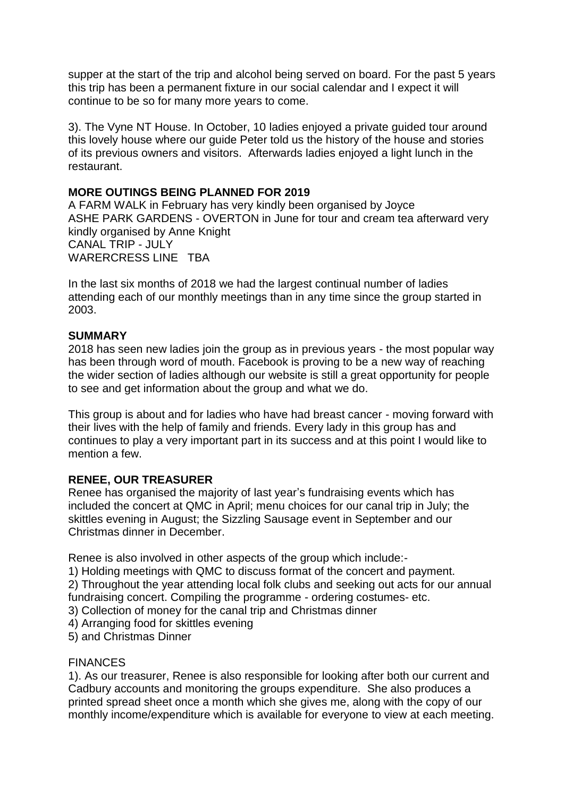supper at the start of the trip and alcohol being served on board. For the past 5 years this trip has been a permanent fixture in our social calendar and I expect it will continue to be so for many more years to come.

3). The Vyne NT House. In October, 10 ladies enjoyed a private guided tour around this lovely house where our guide Peter told us the history of the house and stories of its previous owners and visitors. Afterwards ladies enjoyed a light lunch in the restaurant.

# **MORE OUTINGS BEING PLANNED FOR 2019**

A FARM WALK in February has very kindly been organised by Joyce ASHE PARK GARDENS - OVERTON in June for tour and cream tea afterward very kindly organised by Anne Knight CANAL TRIP - JULY WARERCRESS LINE TBA

In the last six months of 2018 we had the largest continual number of ladies attending each of our monthly meetings than in any time since the group started in 2003.

# **SUMMARY**

2018 has seen new ladies join the group as in previous years - the most popular way has been through word of mouth. Facebook is proving to be a new way of reaching the wider section of ladies although our website is still a great opportunity for people to see and get information about the group and what we do.

This group is about and for ladies who have had breast cancer - moving forward with their lives with the help of family and friends. Every lady in this group has and continues to play a very important part in its success and at this point I would like to mention a few.

# **RENEE, OUR TREASURER**

Renee has organised the majority of last year's fundraising events which has included the concert at QMC in April; menu choices for our canal trip in July; the skittles evening in August; the Sizzling Sausage event in September and our Christmas dinner in December.

Renee is also involved in other aspects of the group which include:-

1) Holding meetings with QMC to discuss format of the concert and payment.

2) Throughout the year attending local folk clubs and seeking out acts for our annual fundraising concert. Compiling the programme - ordering costumes- etc.

3) Collection of money for the canal trip and Christmas dinner

4) Arranging food for skittles evening

5) and Christmas Dinner

# FINANCES

1). As our treasurer, Renee is also responsible for looking after both our current and Cadbury accounts and monitoring the groups expenditure. She also produces a printed spread sheet once a month which she gives me, along with the copy of our monthly income/expenditure which is available for everyone to view at each meeting.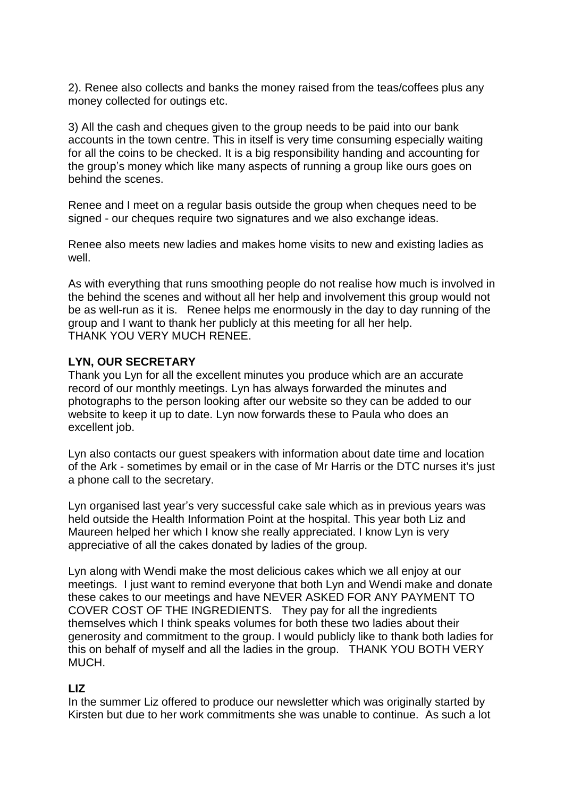2). Renee also collects and banks the money raised from the teas/coffees plus any money collected for outings etc.

3) All the cash and cheques given to the group needs to be paid into our bank accounts in the town centre. This in itself is very time consuming especially waiting for all the coins to be checked. It is a big responsibility handing and accounting for the group's money which like many aspects of running a group like ours goes on behind the scenes.

Renee and I meet on a regular basis outside the group when cheques need to be signed - our cheques require two signatures and we also exchange ideas.

Renee also meets new ladies and makes home visits to new and existing ladies as well.

As with everything that runs smoothing people do not realise how much is involved in the behind the scenes and without all her help and involvement this group would not be as well-run as it is. Renee helps me enormously in the day to day running of the group and I want to thank her publicly at this meeting for all her help. THANK YOU VERY MUCH RENEE.

# **LYN, OUR SECRETARY**

Thank you Lyn for all the excellent minutes you produce which are an accurate record of our monthly meetings. Lyn has always forwarded the minutes and photographs to the person looking after our website so they can be added to our website to keep it up to date. Lyn now forwards these to Paula who does an excellent job.

Lyn also contacts our guest speakers with information about date time and location of the Ark - sometimes by email or in the case of Mr Harris or the DTC nurses it's just a phone call to the secretary.

Lyn organised last year's very successful cake sale which as in previous years was held outside the Health Information Point at the hospital. This year both Liz and Maureen helped her which I know she really appreciated. I know Lyn is very appreciative of all the cakes donated by ladies of the group.

Lyn along with Wendi make the most delicious cakes which we all enjoy at our meetings. I just want to remind everyone that both Lyn and Wendi make and donate these cakes to our meetings and have NEVER ASKED FOR ANY PAYMENT TO COVER COST OF THE INGREDIENTS. They pay for all the ingredients themselves which I think speaks volumes for both these two ladies about their generosity and commitment to the group. I would publicly like to thank both ladies for this on behalf of myself and all the ladies in the group. THANK YOU BOTH VERY MUCH.

# **LIZ**

In the summer Liz offered to produce our newsletter which was originally started by Kirsten but due to her work commitments she was unable to continue. As such a lot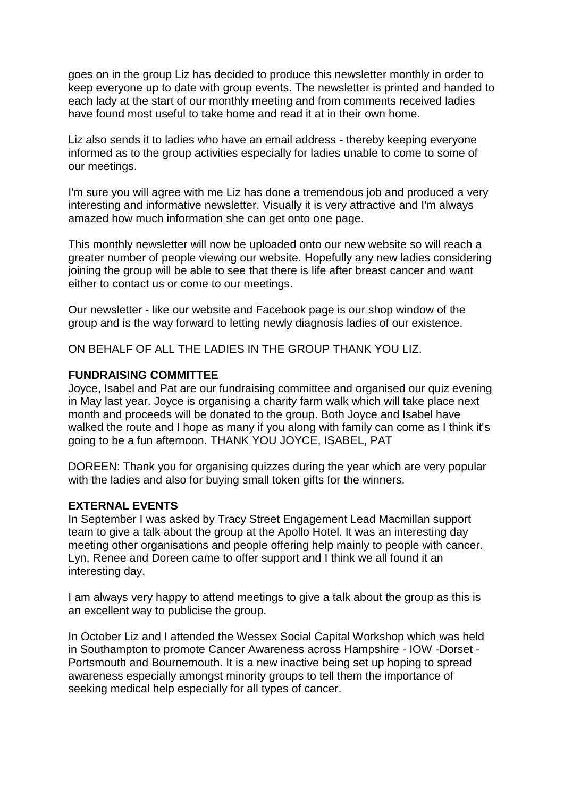goes on in the group Liz has decided to produce this newsletter monthly in order to keep everyone up to date with group events. The newsletter is printed and handed to each lady at the start of our monthly meeting and from comments received ladies have found most useful to take home and read it at in their own home.

Liz also sends it to ladies who have an email address - thereby keeping everyone informed as to the group activities especially for ladies unable to come to some of our meetings.

I'm sure you will agree with me Liz has done a tremendous job and produced a very interesting and informative newsletter. Visually it is very attractive and I'm always amazed how much information she can get onto one page.

This monthly newsletter will now be uploaded onto our new website so will reach a greater number of people viewing our website. Hopefully any new ladies considering joining the group will be able to see that there is life after breast cancer and want either to contact us or come to our meetings.

Our newsletter - like our website and Facebook page is our shop window of the group and is the way forward to letting newly diagnosis ladies of our existence.

ON BEHALF OF ALL THE LADIES IN THE GROUP THANK YOU LIZ.

# **FUNDRAISING COMMITTEE**

Joyce, Isabel and Pat are our fundraising committee and organised our quiz evening in May last year. Joyce is organising a charity farm walk which will take place next month and proceeds will be donated to the group. Both Joyce and Isabel have walked the route and I hope as many if you along with family can come as I think it's going to be a fun afternoon. THANK YOU JOYCE, ISABEL, PAT

DOREEN: Thank you for organising quizzes during the year which are very popular with the ladies and also for buying small token gifts for the winners.

#### **EXTERNAL EVENTS**

In September I was asked by Tracy Street Engagement Lead Macmillan support team to give a talk about the group at the Apollo Hotel. It was an interesting day meeting other organisations and people offering help mainly to people with cancer. Lyn, Renee and Doreen came to offer support and I think we all found it an interesting day.

I am always very happy to attend meetings to give a talk about the group as this is an excellent way to publicise the group.

In October Liz and I attended the Wessex Social Capital Workshop which was held in Southampton to promote Cancer Awareness across Hampshire - IOW -Dorset - Portsmouth and Bournemouth. It is a new inactive being set up hoping to spread awareness especially amongst minority groups to tell them the importance of seeking medical help especially for all types of cancer.